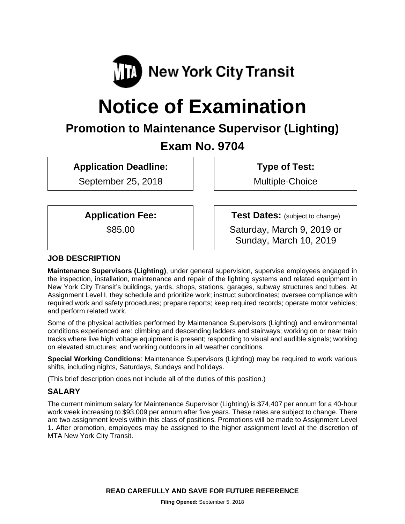

# **Notice of Examination**

## **Promotion to Maintenance Supervisor (Lighting)**

### **Exam No. 9704**

**Application Deadline:** 

September 25, 2018

 **Type of Test:** 

Multiple-Choice

**Application Fee:** 

\$85.00

**Test Dates:** (subject to change)

Saturday, March 9, 2019 or Sunday, March 10, 2019

#### **JOB DESCRIPTION**

**Maintenance Supervisors (Lighting)**, under general supervision, supervise employees engaged in the inspection, installation, maintenance and repair of the lighting systems and related equipment in New York City Transit's buildings, yards, shops, stations, garages, subway structures and tubes. At Assignment Level I, they schedule and prioritize work; instruct subordinates; oversee compliance with required work and safety procedures; prepare reports; keep required records; operate motor vehicles; and perform related work.

Some of the physical activities performed by Maintenance Supervisors (Lighting) and environmental conditions experienced are: climbing and descending ladders and stairways; working on or near train tracks where live high voltage equipment is present; responding to visual and audible signals; working on elevated structures; and working outdoors in all weather conditions.

**Special Working Conditions**: Maintenance Supervisors (Lighting) may be required to work various shifts, including nights, Saturdays, Sundays and holidays.

(This brief description does not include all of the duties of this position.)

#### **SALARY**

The current minimum salary for Maintenance Supervisor (Lighting) is \$74,407 per annum for a 40-hour work week increasing to \$93,009 per annum after five years. These rates are subject to change. There are two assignment levels within this class of positions. Promotions will be made to Assignment Level 1. After promotion, employees may be assigned to the higher assignment level at the discretion of MTA New York City Transit.

**READ CAREFULLY AND SAVE FOR FUTURE REFERENCE**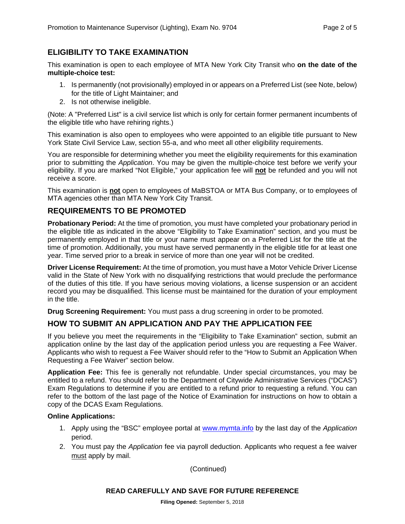#### **ELIGIBILITY TO TAKE EXAMINATION**

This examination is open to each employee of MTA New York City Transit who **on the date of the multiple-choice test:** 

- 1. Is permanently (not provisionally) employed in or appears on a Preferred List (see Note, below) for the title of Light Maintainer; and
- 2. Is not otherwise ineligible.

(Note: A "Preferred List" is a civil service list which is only for certain former permanent incumbents of the eligible title who have rehiring rights.)

This examination is also open to employees who were appointed to an eligible title pursuant to New York State Civil Service Law, section 55-a, and who meet all other eligibility requirements.

You are responsible for determining whether you meet the eligibility requirements for this examination prior to submitting the *Application*. You may be given the multiple-choice test before we verify your eligibility. If you are marked "Not Eligible," your application fee will **not** be refunded and you will not receive a score.

This examination is **not** open to employees of MaBSTOA or MTA Bus Company, or to employees of MTA agencies other than MTA New York City Transit.

#### **REQUIREMENTS TO BE PROMOTED**

**Probationary Period:** At the time of promotion, you must have completed your probationary period in the eligible title as indicated in the above "Eligibility to Take Examination" section, and you must be permanently employed in that title or your name must appear on a Preferred List for the title at the time of promotion. Additionally, you must have served permanently in the eligible title for at least one year. Time served prior to a break in service of more than one year will not be credited.

**Driver License Requirement:** At the time of promotion, you must have a Motor Vehicle Driver License valid in the State of New York with no disqualifying restrictions that would preclude the performance of the duties of this title. If you have serious moving violations, a license suspension or an accident record you may be disqualified. This license must be maintained for the duration of your employment in the title.

**Drug Screening Requirement:** You must pass a drug screening in order to be promoted.

#### **HOW TO SUBMIT AN APPLICATION AND PAY THE APPLICATION FEE**

If you believe you meet the requirements in the "Eligibility to Take Examination" section, submit an application online by the last day of the application period unless you are requesting a Fee Waiver. Applicants who wish to request a Fee Waiver should refer to the "How to Submit an Application When Requesting a Fee Waiver" section below.

**Application Fee:** This fee is generally not refundable. Under special circumstances, you may be entitled to a refund. You should refer to the Department of Citywide Administrative Services ("DCAS") Exam Regulations to determine if you are entitled to a refund prior to requesting a refund. You can refer to the bottom of the last page of the Notice of Examination for instructions on how to obtain a copy of the DCAS Exam Regulations.

#### **Online Applications:**

- 1. Apply using the "BSC" employee portal at www.mymta.info by the last day of the *Application*  period.
- 2. You must pay the *Application* fee via payroll deduction. Applicants who request a fee waiver must apply by mail.

(Continued)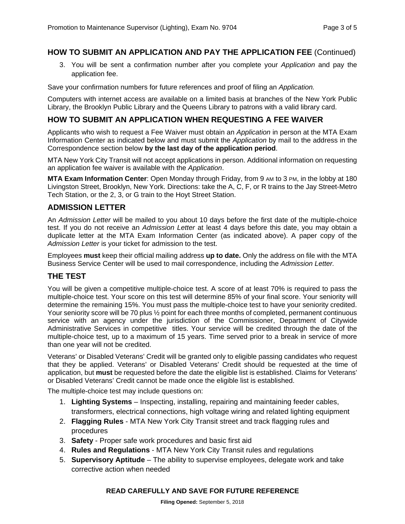#### **HOW TO SUBMIT AN APPLICATION AND PAY THE APPLICATION FEE** (Continued)

3. You will be sent a confirmation number after you complete your *Application* and pay the application fee.

Save your confirmation numbers for future references and proof of filing an *Application.*

Computers with internet access are available on a limited basis at branches of the New York Public Library, the Brooklyn Public Library and the Queens Library to patrons with a valid library card.

#### **HOW TO SUBMIT AN APPLICATION WHEN REQUESTING A FEE WAIVER**

Applicants who wish to request a Fee Waiver must obtain an *Application* in person at the MTA Exam Information Center as indicated below and must submit the *Application* by mail to the address in the Correspondence section below **by the last day of the application period**.

MTA New York City Transit will not accept applications in person. Additional information on requesting an application fee waiver is available with the *Application*.

**MTA Exam Information Center**: Open Monday through Friday, from 9 AM to 3 PM, in the lobby at 180 Livingston Street, Brooklyn, New York. Directions: take the A, C, F, or R trains to the Jay Street-Metro Tech Station, or the 2, 3, or G train to the Hoyt Street Station.

#### **ADMISSION LETTER**

An *Admission Letter* will be mailed to you about 10 days before the first date of the multiple-choice test. If you do not receive an *Admission Letter* at least 4 days before this date, you may obtain a duplicate letter at the MTA Exam Information Center (as indicated above). A paper copy of the *Admission Letter* is your ticket for admission to the test.

Employees **must** keep their official mailing address **up to date.** Only the address on file with the MTA Business Service Center will be used to mail correspondence, including the *Admission Letter.*

#### **THE TEST**

You will be given a competitive multiple-choice test. A score of at least 70% is required to pass the multiple-choice test. Your score on this test will determine 85% of your final score. Your seniority will determine the remaining 15%. You must pass the multiple-choice test to have your seniority credited. Your seniority score will be 70 plus  $\frac{1}{2}$  point for each three months of completed, permanent continuous service with an agency under the jurisdiction of the Commissioner, Department of Citywide Administrative Services in competitive titles. Your service will be credited through the date of the multiple-choice test, up to a maximum of 15 years. Time served prior to a break in service of more than one year will not be credited.

Veterans' or Disabled Veterans' Credit will be granted only to eligible passing candidates who request that they be applied. Veterans' or Disabled Veterans' Credit should be requested at the time of application, but **must** be requested before the date the eligible list is established. Claims for Veterans' or Disabled Veterans' Credit cannot be made once the eligible list is established.

The multiple-choice test may include questions on:

- 1. **Lighting Systems**  Inspecting, installing, repairing and maintaining feeder cables, transformers, electrical connections, high voltage wiring and related lighting equipment
- 2. **Flagging Rules**  MTA New York City Transit street and track flagging rules and procedures
- 3. **Safety**  Proper safe work procedures and basic first aid
- 4. **Rules and Regulations**  MTA New York City Transit rules and regulations
- 5. **Supervisory Aptitude**  The ability to supervise employees, delegate work and take corrective action when needed

#### **READ CAREFULLY AND SAVE FOR FUTURE REFERENCE**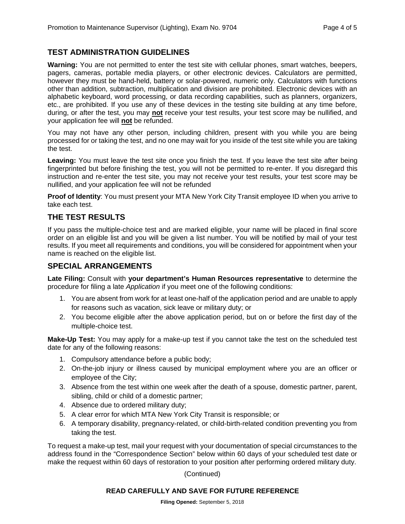#### **TEST ADMINISTRATION GUIDELINES**

**Warning:** You are not permitted to enter the test site with cellular phones, smart watches, beepers, pagers, cameras, portable media players, or other electronic devices. Calculators are permitted, however they must be hand-held, battery or solar-powered, numeric only. Calculators with functions other than addition, subtraction, multiplication and division are prohibited. Electronic devices with an alphabetic keyboard, word processing, or data recording capabilities, such as planners, organizers, etc., are prohibited. If you use any of these devices in the testing site building at any time before, during, or after the test, you may **not** receive your test results, your test score may be nullified, and your application fee will **not** be refunded.

You may not have any other person, including children, present with you while you are being processed for or taking the test, and no one may wait for you inside of the test site while you are taking the test.

**Leaving:** You must leave the test site once you finish the test. If you leave the test site after being fingerprinted but before finishing the test, you will not be permitted to re-enter. If you disregard this instruction and re-enter the test site, you may not receive your test results, your test score may be nullified, and your application fee will not be refunded

**Proof of Identity**: You must present your MTA New York City Transit employee ID when you arrive to take each test.

#### **THE TEST RESULTS**

If you pass the multiple-choice test and are marked eligible, your name will be placed in final score order on an eligible list and you will be given a list number. You will be notified by mail of your test results. If you meet all requirements and conditions, you will be considered for appointment when your name is reached on the eligible list.

#### **SPECIAL ARRANGEMENTS**

**Late Filing:** Consult with **your department's Human Resources representative** to determine the procedure for filing a late *Application* if you meet one of the following conditions:

- 1. You are absent from work for at least one-half of the application period and are unable to apply for reasons such as vacation, sick leave or military duty; or
- 2. You become eligible after the above application period, but on or before the first day of the multiple-choice test.

**Make-Up Test:** You may apply for a make-up test if you cannot take the test on the scheduled test date for any of the following reasons:

- 1. Compulsory attendance before a public body;
- 2. On-the-job injury or illness caused by municipal employment where you are an officer or employee of the City;
- 3. Absence from the test within one week after the death of a spouse, domestic partner, parent, sibling, child or child of a domestic partner;
- 4. Absence due to ordered military duty;
- 5. A clear error for which MTA New York City Transit is responsible; or
- 6. A temporary disability, pregnancy-related, or child-birth-related condition preventing you from taking the test.

To request a make-up test, mail your request with your documentation of special circumstances to the address found in the "Correspondence Section" below within 60 days of your scheduled test date or make the request within 60 days of restoration to your position after performing ordered military duty.

#### (Continued)

#### **READ CAREFULLY AND SAVE FOR FUTURE REFERENCE**